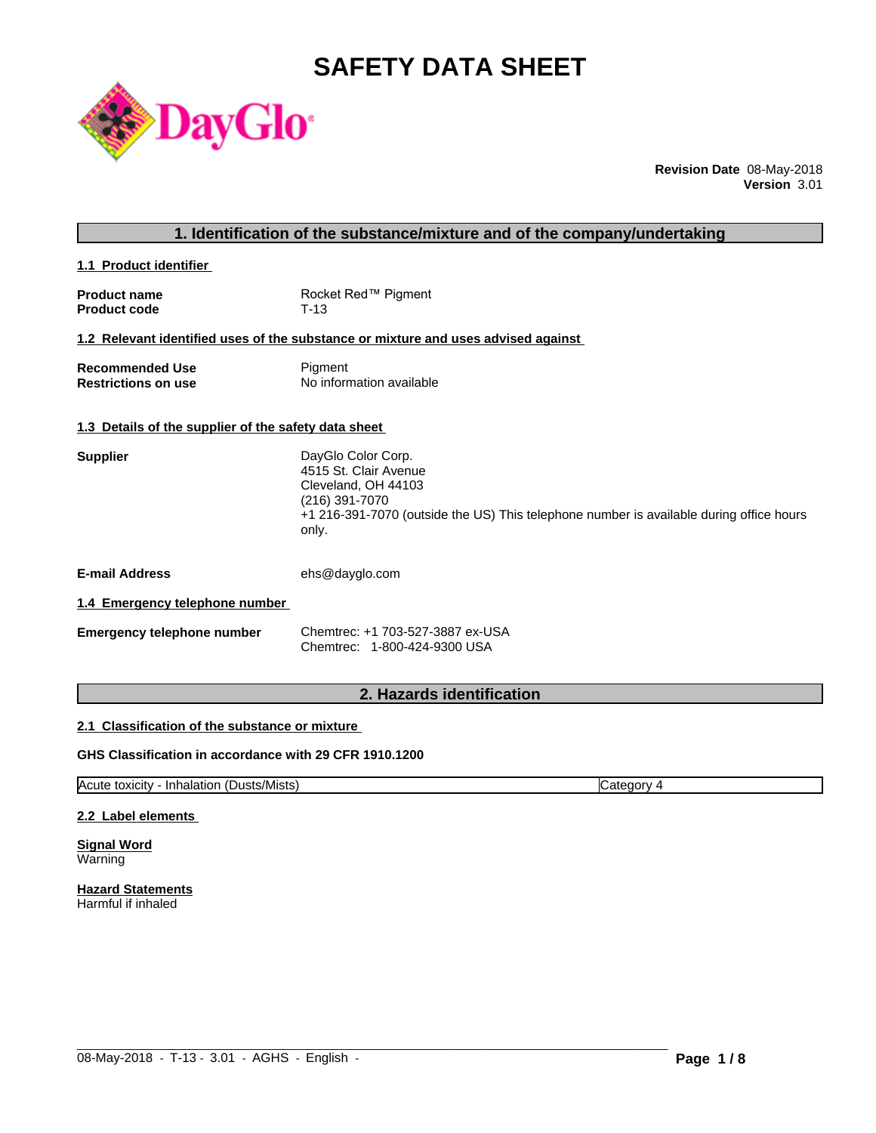# **SAFETY DATA SHEET**



**Revision Date** 08-May-2018 **Version** 3.01

| 1. Identification of the substance/mixture and of the company/undertaking |                                                                                                                                                                                          |  |
|---------------------------------------------------------------------------|------------------------------------------------------------------------------------------------------------------------------------------------------------------------------------------|--|
| 1.1 Product identifier                                                    |                                                                                                                                                                                          |  |
| <b>Product name</b><br><b>Product code</b>                                | Rocket Red™ Pigment<br>$T-13$                                                                                                                                                            |  |
|                                                                           | 1.2 Relevant identified uses of the substance or mixture and uses advised against                                                                                                        |  |
| <b>Recommended Use</b><br><b>Restrictions on use</b>                      | Pigment<br>No information available                                                                                                                                                      |  |
| 1.3 Details of the supplier of the safety data sheet                      |                                                                                                                                                                                          |  |
| <b>Supplier</b>                                                           | DayGlo Color Corp.<br>4515 St. Clair Avenue<br>Cleveland, OH 44103<br>(216) 391-7070<br>+1 216-391-7070 (outside the US) This telephone number is available during office hours<br>only. |  |
| <b>E-mail Address</b>                                                     | ehs@dayglo.com                                                                                                                                                                           |  |
| 1.4 Emergency telephone number                                            |                                                                                                                                                                                          |  |
| <b>Emergency telephone number</b>                                         | Chemtrec: +1 703-527-3887 ex-USA<br>Chemtrec: 1-800-424-9300 USA                                                                                                                         |  |
|                                                                           |                                                                                                                                                                                          |  |

# **2. Hazards identification**

# **2.1 Classification of the substance or mixture**

# **GHS Classification in accordance with 29 CFR 1910.1200**

Acute toxicity - Inhalation (Dusts/Mists) Category 4

 $\_$  ,  $\_$  ,  $\_$  ,  $\_$  ,  $\_$  ,  $\_$  ,  $\_$  ,  $\_$  ,  $\_$  ,  $\_$  ,  $\_$  ,  $\_$  ,  $\_$  ,  $\_$  ,  $\_$  ,  $\_$  ,  $\_$  ,  $\_$  ,  $\_$  ,  $\_$  ,  $\_$  ,  $\_$  ,  $\_$  ,  $\_$  ,  $\_$  ,  $\_$  ,  $\_$  ,  $\_$  ,  $\_$  ,  $\_$  ,  $\_$  ,  $\_$  ,  $\_$  ,  $\_$  ,  $\_$  ,  $\_$  ,  $\_$  ,

#### **2.2 Label elements**

**Signal Word** Warning

**Hazard Statements** Harmful if inhaled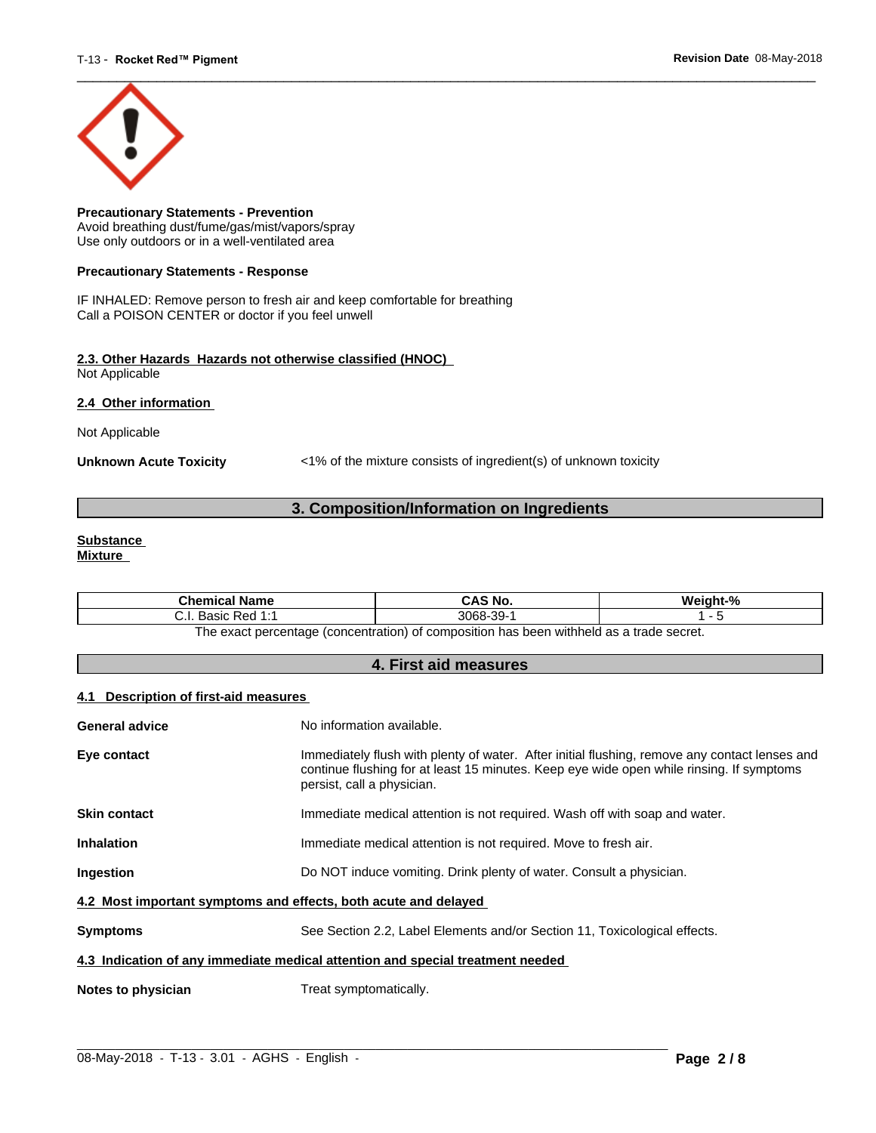

**Precautionary Statements - Prevention** Avoid breathing dust/fume/gas/mist/vapors/spray Use only outdoors or in a well-ventilated area

#### **Precautionary Statements - Response**

IF INHALED: Remove person to fresh air and keep comfortable for breathing Call a POISON CENTER or doctor if you feel unwell

#### **2.3. Other Hazards Hazards not otherwise classified (HNOC)** Not Applicable

**2.4 Other information** 

Not Applicable

**Unknown Acute Toxicity** <1% of the mixture consists of ingredient(s) of unknown toxicity

# **3. Composition/Information on Ingredients**

#### **Substance Mixture**

| Chemical<br>l Name                                                                              | CAS No.             | Mainht <sub>-</sub> % |  |
|-------------------------------------------------------------------------------------------------|---------------------|-----------------------|--|
| 4.4<br>: Red<br><b>Doole</b><br>. ۱. ب<br>sasiv<br>.                                            | -30-<br>3068-<br>ັບ |                       |  |
| tannes ahert e ze hladdiw naad sa t<br>: nercentage (concentration) of composition<br>∣h≙ ≙¥a∩t |                     |                       |  |

The exact percentage (concentration) of composition has been withheld as a trade secret.

# **4. First aid measures**

#### **4.1 Description of first-aid measures**

| General advice                                                                 | No information available.                                                                                                                                                                                               |  |
|--------------------------------------------------------------------------------|-------------------------------------------------------------------------------------------------------------------------------------------------------------------------------------------------------------------------|--|
| Eye contact                                                                    | Immediately flush with plenty of water. After initial flushing, remove any contact lenses and<br>continue flushing for at least 15 minutes. Keep eye wide open while rinsing. If symptoms<br>persist, call a physician. |  |
| <b>Skin contact</b>                                                            | Immediate medical attention is not required. Wash off with soap and water.                                                                                                                                              |  |
| <b>Inhalation</b>                                                              | Immediate medical attention is not required. Move to fresh air.                                                                                                                                                         |  |
| Ingestion                                                                      | Do NOT induce vomiting. Drink plenty of water. Consult a physician.                                                                                                                                                     |  |
| 4.2 Most important symptoms and effects, both acute and delayed                |                                                                                                                                                                                                                         |  |
| <b>Symptoms</b>                                                                | See Section 2.2, Label Elements and/or Section 11, Toxicological effects.                                                                                                                                               |  |
| 4.3 Indication of any immediate medical attention and special treatment needed |                                                                                                                                                                                                                         |  |
| Notes to physician                                                             | Treat symptomatically.                                                                                                                                                                                                  |  |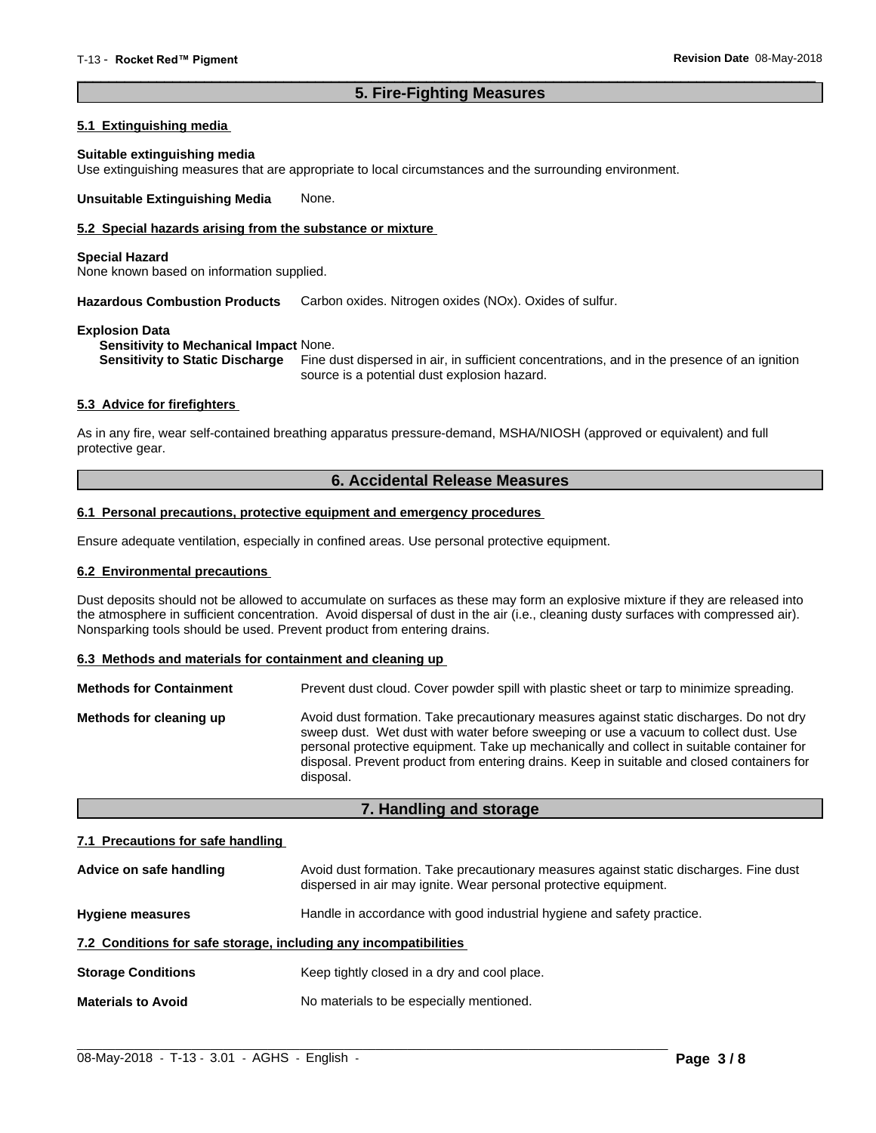# **5. Fire-Fighting Measures**

 $\overline{\phantom{a}}$  ,  $\overline{\phantom{a}}$  ,  $\overline{\phantom{a}}$  ,  $\overline{\phantom{a}}$  ,  $\overline{\phantom{a}}$  ,  $\overline{\phantom{a}}$  ,  $\overline{\phantom{a}}$  ,  $\overline{\phantom{a}}$  ,  $\overline{\phantom{a}}$  ,  $\overline{\phantom{a}}$  ,  $\overline{\phantom{a}}$  ,  $\overline{\phantom{a}}$  ,  $\overline{\phantom{a}}$  ,  $\overline{\phantom{a}}$  ,  $\overline{\phantom{a}}$  ,  $\overline{\phantom{a}}$ 

### **5.1 Extinguishing media**

#### **Suitable extinguishing media**

Use extinguishing measures that are appropriate to local circumstances and the surrounding environment.

**Unsuitable Extinguishing Media** None.

# **5.2 Special hazards arising from the substance or mixture**

#### **Special Hazard**

None known based on information supplied.

**Hazardous Combustion Products** Carbon oxides. Nitrogen oxides (NOx). Oxides of sulfur.

#### **Explosion Data**

**Sensitivity to Mechanical Impact** None.

**Sensitivity to Static Discharge** Fine dust dispersed in air, in sufficient concentrations, and in the presence of an ignition source is a potential dust explosion hazard.

#### **5.3 Advice for firefighters**

As in any fire, wear self-contained breathing apparatus pressure-demand, MSHA/NIOSH (approved or equivalent) and full protective gear.

# **6. Accidental Release Measures**

#### **6.1 Personal precautions, protective equipment and emergency procedures**

Ensure adequate ventilation, especially in confined areas. Use personal protective equipment.

#### **6.2 Environmental precautions**

Dust deposits should not be allowed to accumulate on surfaces as these may form an explosive mixture if they are released into the atmosphere in sufficient concentration. Avoid dispersal of dust in the air (i.e., cleaning dusty surfaces with compressed air). Nonsparking tools should be used. Prevent product from entering drains.

#### **6.3 Methods and materials for containment and cleaning up**

| <b>Methods for Containment</b> | Prevent dust cloud. Cover powder spill with plastic sheet or tarp to minimize spreading.                                                                                                                                                                                                                                                                                                |
|--------------------------------|-----------------------------------------------------------------------------------------------------------------------------------------------------------------------------------------------------------------------------------------------------------------------------------------------------------------------------------------------------------------------------------------|
| Methods for cleaning up        | Avoid dust formation. Take precautionary measures against static discharges. Do not dry<br>sweep dust. Wet dust with water before sweeping or use a vacuum to collect dust. Use<br>personal protective equipment. Take up mechanically and collect in suitable container for<br>disposal. Prevent product from entering drains. Keep in suitable and closed containers for<br>disposal. |

# **7. Handling and storage**

#### **7.1 Precautions for safe handling**

| Advice on safe handling                                          | Avoid dust formation. Take precautionary measures against static discharges. Fine dust<br>dispersed in air may ignite. Wear personal protective equipment. |  |
|------------------------------------------------------------------|------------------------------------------------------------------------------------------------------------------------------------------------------------|--|
| <b>Hygiene measures</b>                                          | Handle in accordance with good industrial hygiene and safety practice.                                                                                     |  |
| 7.2 Conditions for safe storage, including any incompatibilities |                                                                                                                                                            |  |
| <b>Storage Conditions</b>                                        | Keep tightly closed in a dry and cool place.                                                                                                               |  |
| <b>Materials to Avoid</b>                                        | No materials to be especially mentioned.                                                                                                                   |  |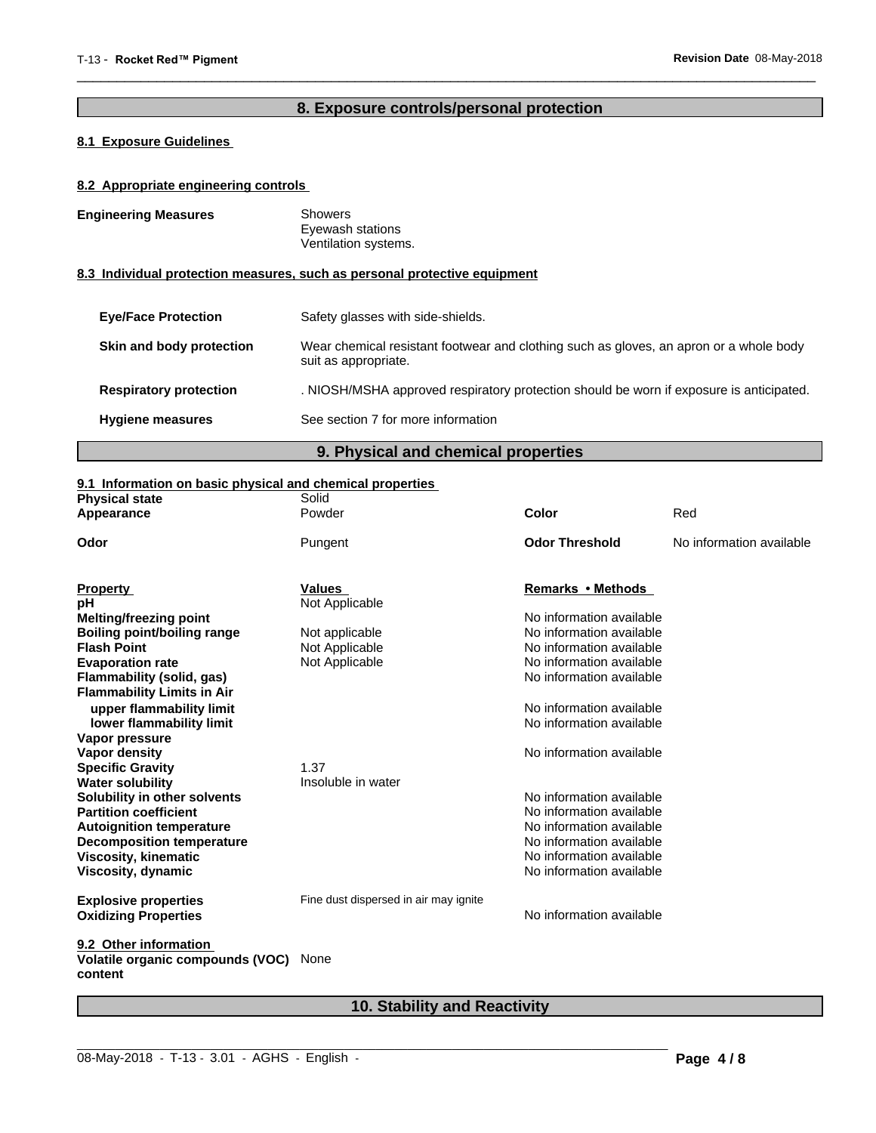# **8. Exposure controls/personal protection**

 $\overline{\phantom{a}}$  ,  $\overline{\phantom{a}}$  ,  $\overline{\phantom{a}}$  ,  $\overline{\phantom{a}}$  ,  $\overline{\phantom{a}}$  ,  $\overline{\phantom{a}}$  ,  $\overline{\phantom{a}}$  ,  $\overline{\phantom{a}}$  ,  $\overline{\phantom{a}}$  ,  $\overline{\phantom{a}}$  ,  $\overline{\phantom{a}}$  ,  $\overline{\phantom{a}}$  ,  $\overline{\phantom{a}}$  ,  $\overline{\phantom{a}}$  ,  $\overline{\phantom{a}}$  ,  $\overline{\phantom{a}}$ 

# **8.1 Exposure Guidelines**

# **8.2 Appropriate engineering controls**

| <b>Engineering Measures</b>   | <b>Showers</b><br>Eyewash stations<br>Ventilation systems.                                                     |  |
|-------------------------------|----------------------------------------------------------------------------------------------------------------|--|
|                               | 8.3 Individual protection measures, such as personal protective equipment                                      |  |
| <b>Eve/Face Protection</b>    | Safety glasses with side-shields.                                                                              |  |
| Skin and body protection      | Wear chemical resistant footwear and clothing such as gloves, an apron or a whole body<br>suit as appropriate. |  |
| <b>Respiratory protection</b> | . NIOSH/MSHA approved respiratory protection should be worn if exposure is anticipated.                        |  |
| <b>Hygiene measures</b>       | See section 7 for more information                                                                             |  |

**9. Physical and chemical properties**

# **9.1 Information on basic physical and chemical properties**

| <b>Physical state</b>                       | Solid                                 |                          |                          |
|---------------------------------------------|---------------------------------------|--------------------------|--------------------------|
| Appearance                                  | Powder                                | Color                    | Red                      |
| Odor                                        | Pungent                               | <b>Odor Threshold</b>    | No information available |
| <b>Property</b>                             | <b>Values</b>                         | Remarks • Methods        |                          |
| pH                                          | Not Applicable                        |                          |                          |
| <b>Melting/freezing point</b>               |                                       | No information available |                          |
| Boiling point/boiling range                 | Not applicable                        | No information available |                          |
| <b>Flash Point</b>                          | Not Applicable                        | No information available |                          |
| <b>Evaporation rate</b>                     | Not Applicable                        | No information available |                          |
| Flammability (solid, gas)                   |                                       | No information available |                          |
| <b>Flammability Limits in Air</b>           |                                       |                          |                          |
| upper flammability limit                    |                                       | No information available |                          |
| lower flammability limit                    |                                       | No information available |                          |
| Vapor pressure                              |                                       |                          |                          |
| Vapor density                               |                                       | No information available |                          |
| <b>Specific Gravity</b>                     | 1.37                                  |                          |                          |
| <b>Water solubility</b>                     | Insoluble in water                    |                          |                          |
| Solubility in other solvents                |                                       | No information available |                          |
| <b>Partition coefficient</b>                |                                       | No information available |                          |
| <b>Autoignition temperature</b>             |                                       | No information available |                          |
| <b>Decomposition temperature</b>            |                                       | No information available |                          |
| <b>Viscosity, kinematic</b>                 |                                       | No information available |                          |
| Viscosity, dynamic                          |                                       | No information available |                          |
| <b>Explosive properties</b>                 | Fine dust dispersed in air may ignite |                          |                          |
| <b>Oxidizing Properties</b>                 |                                       | No information available |                          |
| 9.2 Other information                       |                                       |                          |                          |
| Volatile organic compounds (VOC)<br>content | None                                  |                          |                          |

# **10. Stability and Reactivity**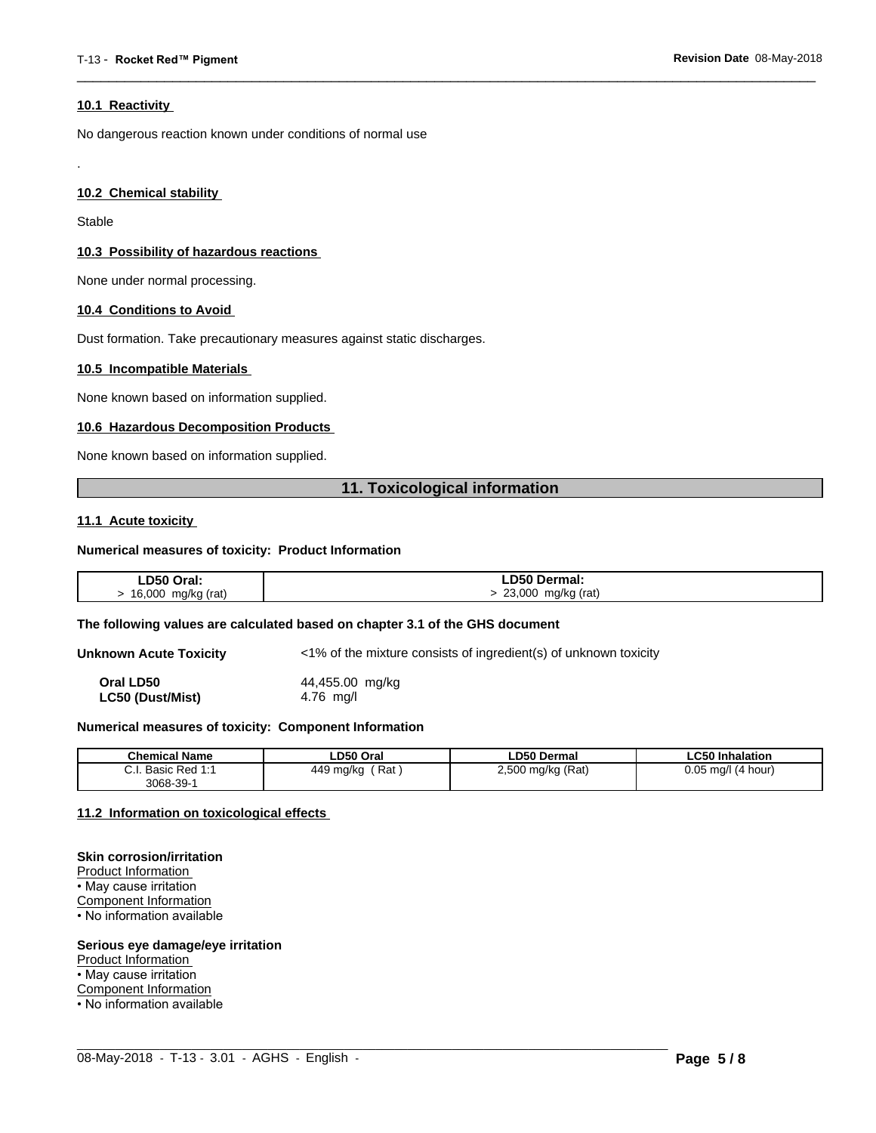#### **10.1 Reactivity**

No dangerous reaction known under conditions of normal use

#### **10.2 Chemical stability**

Stable

.

#### **10.3 Possibility of hazardous reactions**

None under normal processing.

#### **10.4 Conditions to Avoid**

Dust formation. Take precautionary measures against static discharges.

#### **10.5 Incompatible Materials**

None known based on information supplied.

#### **10.6 Hazardous Decomposition Products**

None known based on information supplied.

# **11. Toxicological information**

 $\overline{\phantom{a}}$  ,  $\overline{\phantom{a}}$  ,  $\overline{\phantom{a}}$  ,  $\overline{\phantom{a}}$  ,  $\overline{\phantom{a}}$  ,  $\overline{\phantom{a}}$  ,  $\overline{\phantom{a}}$  ,  $\overline{\phantom{a}}$  ,  $\overline{\phantom{a}}$  ,  $\overline{\phantom{a}}$  ,  $\overline{\phantom{a}}$  ,  $\overline{\phantom{a}}$  ,  $\overline{\phantom{a}}$  ,  $\overline{\phantom{a}}$  ,  $\overline{\phantom{a}}$  ,  $\overline{\phantom{a}}$ 

#### **11.1 Acute toxicity**

#### **Numerical measures of toxicity: Product Information**

| ∟D50 Oral:   | D50 Dermal:     |
|--------------|-----------------|
| 16,000       | 23,000          |
| mg/kg (rat)  | mg/kg (rat)     |
| $\mathbf{r}$ | $\cdot$ $\cdot$ |
| $\sim$       | $\mathbf{r}$    |

#### **The following values are calculated based on chapter 3.1 of the GHS document**

**Unknown Acute Toxicity** <1% of the mixture consists of ingredient(s) of unknown toxicity

**Oral LD50** 44,455.00 mg/kg **LC50 (Dust/Mist)** 4.76 mg/l

#### **Numerical measures of toxicity: Component Information**

| <b>Chemical Name</b>                                                                | LD50 Oral        | <b>LD50 Dermal</b>     | <b>LC50 Inhalation</b>   |
|-------------------------------------------------------------------------------------|------------------|------------------------|--------------------------|
| $\sim$<br>$Dod$ 4.4<br><b>Dooin</b><br><b>D</b> asic<br>$\mathsf{r}$ Req.i.<br>υ.ι. | Rat<br>449 mg/kg | ) mg/kg (Rat)<br>2,500 | 0.05<br>(4 hour)<br>ma/l |
| $3068 - 39 - 7$                                                                     |                  |                        |                          |

 $\_$  ,  $\_$  ,  $\_$  ,  $\_$  ,  $\_$  ,  $\_$  ,  $\_$  ,  $\_$  ,  $\_$  ,  $\_$  ,  $\_$  ,  $\_$  ,  $\_$  ,  $\_$  ,  $\_$  ,  $\_$  ,  $\_$  ,  $\_$  ,  $\_$  ,  $\_$  ,  $\_$  ,  $\_$  ,  $\_$  ,  $\_$  ,  $\_$  ,  $\_$  ,  $\_$  ,  $\_$  ,  $\_$  ,  $\_$  ,  $\_$  ,  $\_$  ,  $\_$  ,  $\_$  ,  $\_$  ,  $\_$  ,  $\_$  ,

#### **11.2 Information on toxicologicaleffects**

#### **Skin corrosion/irritation**

Product Information • May cause irritation Component Information • No information available

#### **Serious eye damage/eye irritation**

Product Information

• May cause irritation

Component Information

• No information available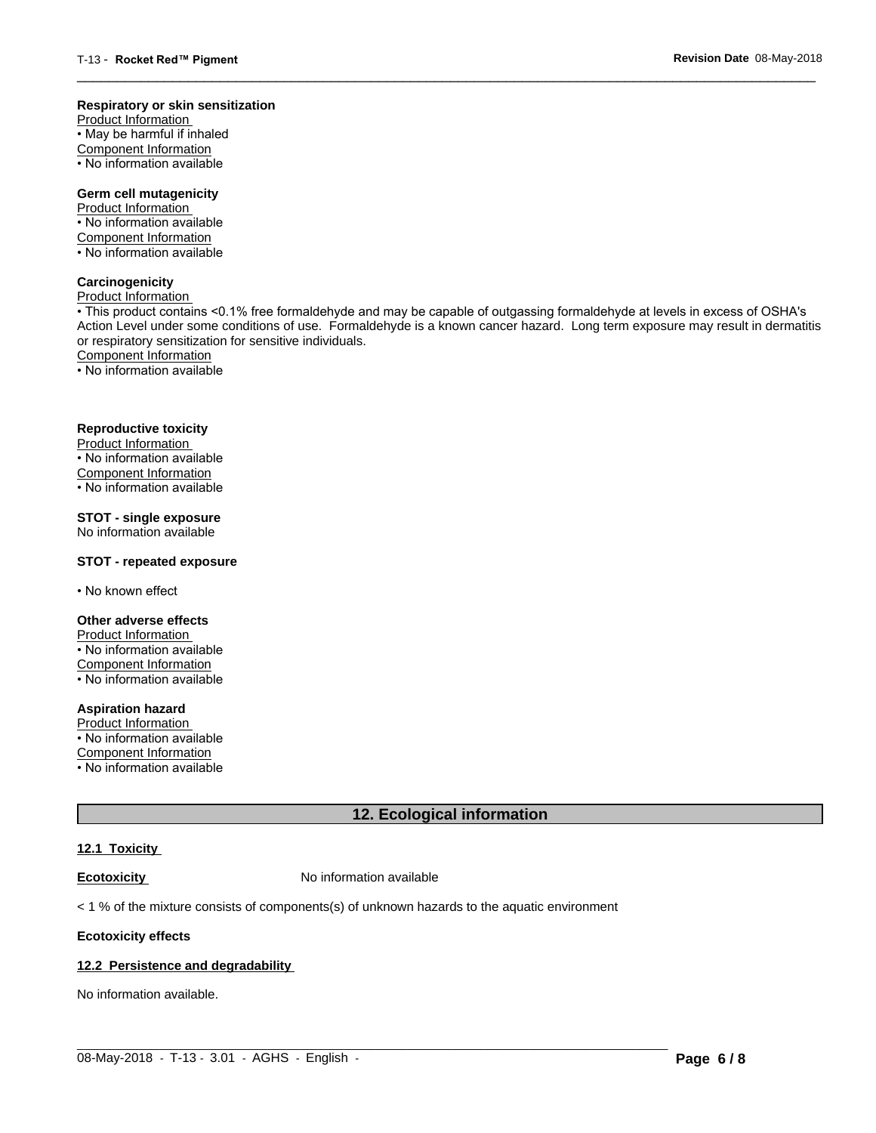#### **Respiratory or skin sensitization**

Product Information  $\overline{\cdot}$  May be harmful if inhaled Component Information • No information available

# **Germ cell mutagenicity**

Product Information • No information available Component Information • No information available

# **Carcinogenicity**

Product Information

• This product contains <0.1% free formaldehyde and may be capable of outgassing formaldehyde at levels in excess of OSHA's Action Level under some conditions of use. Formaldehyde is a known cancer hazard. Long term exposure may result in dermatitis or respiratory sensitization for sensitive individuals.Component Information

 $\overline{\phantom{a}}$  ,  $\overline{\phantom{a}}$  ,  $\overline{\phantom{a}}$  ,  $\overline{\phantom{a}}$  ,  $\overline{\phantom{a}}$  ,  $\overline{\phantom{a}}$  ,  $\overline{\phantom{a}}$  ,  $\overline{\phantom{a}}$  ,  $\overline{\phantom{a}}$  ,  $\overline{\phantom{a}}$  ,  $\overline{\phantom{a}}$  ,  $\overline{\phantom{a}}$  ,  $\overline{\phantom{a}}$  ,  $\overline{\phantom{a}}$  ,  $\overline{\phantom{a}}$  ,  $\overline{\phantom{a}}$ 

• No information available

# **Reproductive toxicity**

Product Information • No information available

Component Information

• No information available

# **STOT - single exposure**

No information available

### **STOT - repeated exposure**

• No known effect

#### **Other adverse effects**

Product Information • No information available Component Information • No information available

# **Aspiration hazard**

Product Information • No information available

Component Information

• No information available

# **12. Ecological information**

# **12.1 Toxicity**

**Ecotoxicity No information available** 

 $<$  1 % of the mixture consists of components(s) of unknown hazards to the aquatic environment

#### **Ecotoxicity effects**

#### **12.2 Persistence and degradability**

No information available.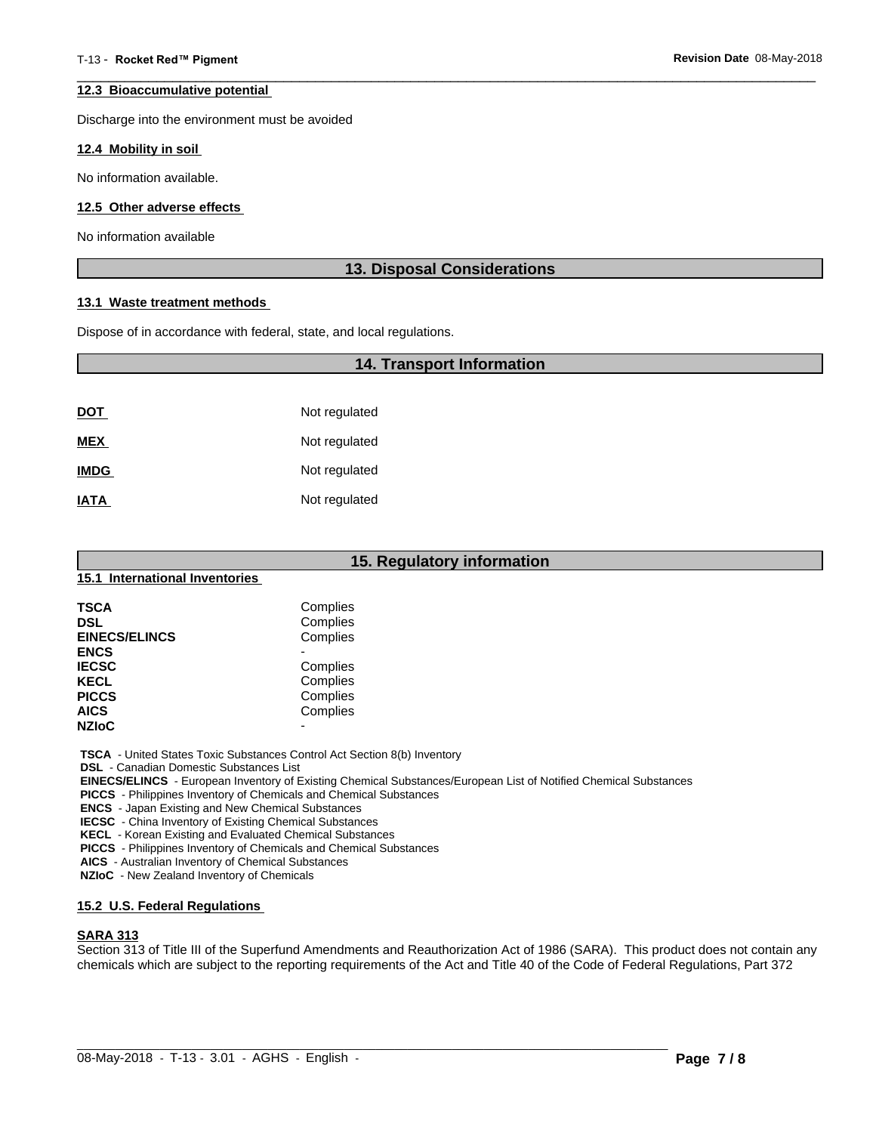#### **12.3 Bioaccumulative potential**

Discharge into the environment must be avoided

#### **12.4 Mobility in soil**

No information available.

#### **12.5 Other adverse effects**

No information available

# **13. Disposal Considerations**

 $\overline{\phantom{a}}$  ,  $\overline{\phantom{a}}$  ,  $\overline{\phantom{a}}$  ,  $\overline{\phantom{a}}$  ,  $\overline{\phantom{a}}$  ,  $\overline{\phantom{a}}$  ,  $\overline{\phantom{a}}$  ,  $\overline{\phantom{a}}$  ,  $\overline{\phantom{a}}$  ,  $\overline{\phantom{a}}$  ,  $\overline{\phantom{a}}$  ,  $\overline{\phantom{a}}$  ,  $\overline{\phantom{a}}$  ,  $\overline{\phantom{a}}$  ,  $\overline{\phantom{a}}$  ,  $\overline{\phantom{a}}$ 

#### **13.1 Waste treatment methods**

Dispose of in accordance with federal, state, and local regulations.

# **14. Transport Information**

| <u>DOT</u>  | Not regulated |
|-------------|---------------|
| <b>MEX</b>  | Not regulated |
| <b>IMDG</b> | Not regulated |
| <b>IATA</b> | Not regulated |

| 15. Regulatory information<br>15.1 International Inventories |                          |  |
|--------------------------------------------------------------|--------------------------|--|
|                                                              |                          |  |
| <b>DSL</b>                                                   | Complies                 |  |
| <b>EINECS/ELINCS</b>                                         | Complies                 |  |
| <b>ENCS</b>                                                  |                          |  |
| <b>IECSC</b>                                                 | Complies                 |  |
| <b>KECL</b>                                                  | Complies                 |  |
| <b>PICCS</b>                                                 | Complies                 |  |
| <b>AICS</b>                                                  | Complies                 |  |
| <b>NZIOC</b>                                                 | $\overline{\phantom{0}}$ |  |

 **TSCA** - United States Toxic Substances Control Act Section 8(b) Inventory

 **DSL** - Canadian Domestic Substances List

 **EINECS/ELINCS** - European Inventory of Existing Chemical Substances/European List of Notified Chemical Substances

 **PICCS** - Philippines Inventory of Chemicals and Chemical Substances

 **ENCS** - Japan Existing and New Chemical Substances

 **IECSC** - China Inventory of Existing Chemical Substances

 **KECL** - Korean Existing and Evaluated Chemical Substances

 **PICCS** - Philippines Inventory of Chemicals and Chemical Substances

 **AICS** - Australian Inventory of Chemical Substances

 **NZIoC** - New Zealand Inventory of Chemicals

#### **15.2 U.S. Federal Regulations**

#### **SARA 313**

Section 313 of Title III of the Superfund Amendments and Reauthorization Act of 1986 (SARA). This product does not contain any chemicals which are subject to the reporting requirements of the Act and Title 40 of the Code of Federal Regulations, Part 372